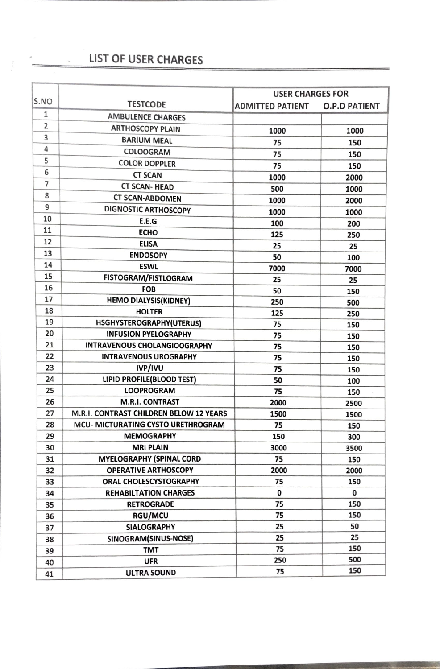## LIST OF USER CHARGES

 $\frac{1}{2}$ 

 $\approx$ 

|                |                                         | <b>USER CHARGES FOR</b> |                      |
|----------------|-----------------------------------------|-------------------------|----------------------|
| S.NO           | <b>TESTCODE</b>                         | <b>ADMITTED PATIENT</b> | <b>O.P.D PATIENT</b> |
| 1              | <b>AMBULENCE CHARGES</b>                |                         |                      |
| $\overline{2}$ | <b>ARTHOSCOPY PLAIN</b>                 | 1000                    | 1000                 |
| 3              | <b>BARIUM MEAL</b>                      | 75                      | 150                  |
| 4              | COLOOGRAM                               | 75                      | 150                  |
| 5              | <b>COLOR DOPPLER</b>                    | 75                      | 150                  |
| 6              | <b>CT SCAN</b>                          | 1000                    | 2000                 |
| $\overline{7}$ | <b>CT SCAN-HEAD</b>                     | 500                     | 1000                 |
| 8              | <b>CT SCAN-ABDOMEN</b>                  | 1000                    | 2000                 |
| 9              | <b>DIGNOSTIC ARTHOSCOPY</b>             | 1000                    | 1000                 |
| 10             | E.E.G                                   | 100                     | 200                  |
| 11             | <b>ECHO</b>                             | 125                     | 250                  |
| 12             | <b>ELISA</b>                            | 25                      | 25                   |
| 13             | <b>ENDOSOPY</b>                         | 50                      | 100                  |
| 14             | <b>ESWL</b>                             | 7000                    | 7000                 |
| 15             | FISTOGRAM/FISTLOGRAM                    | 25                      | 25                   |
| 16             | FOB                                     | 50                      | 150                  |
| 17             | <b>HEMO DIALYSIS(KIDNEY)</b>            | 250                     | 500                  |
| 18             | <b>HOLTER</b>                           | 125                     | 250                  |
| 19             | HSGHYSTEROGRAPHY(UTERUS)                | 75                      | 150                  |
| 20             | <b>INFUSION PYELOGRAPHY</b>             | 75                      | 150                  |
| 21             | <b>INTRAVENOUS CHOLANGIOOGRAPHY</b>     | 75                      | 150                  |
| 22             | <b>INTRAVENOUS UROGRAPHY</b>            | 75                      | 150                  |
| 23             | <b>IVP/IVU</b>                          | 75                      | 150                  |
| 24             | LIPID PROFILE(BLOOD TEST)               | 50                      | 100                  |
| 25             | <b>LOOPROGRAM</b>                       | 75                      | 150                  |
| 26             | <b>M.R.I. CONTRAST</b>                  | 2000                    | 2500                 |
| 27             | M.R.I. CONTRAST CHILDREN BELOW 12 YEARS | 1500                    | 1500                 |
| 28             | MCU- MICTURATING CYSTO URETHROGRAM      | 75                      | 150                  |
| 29             | <b>MEMOGRAPHY</b>                       | 150                     | 300                  |
| 30             | <b>MRI PLAIN</b>                        | 3000                    | 3500                 |
| 31             | <b>MYELOGRAPHY (SPINAL CORD</b>         | 75                      | 150                  |
| 32             | <b>OPERATIVE ARTHOSCOPY</b>             | 2000                    | 2000                 |
| 33             | ORAL CHOLESCYSTOGRAPHY                  | 75                      | 150                  |
| 34             | <b>REHABILTATION CHARGES</b>            | 0                       | 0                    |
| 35             | <b>RETROGRADE</b>                       | 75                      | 150                  |
| 36             | <b>RGU/MCU</b>                          | 75                      | 150                  |
| 37             | <b>SIALOGRAPHY</b>                      | 25                      | 50                   |
| 38             | SINOGRAM(SINUS-NOSE)                    | 25                      | 25                   |
| 39             | <b>TMT</b>                              | 75                      | 150                  |
| 40             | <b>UFR</b>                              | 250                     | 500                  |
| 41             | <b>ULTRA SOUND</b>                      | 75                      | 150                  |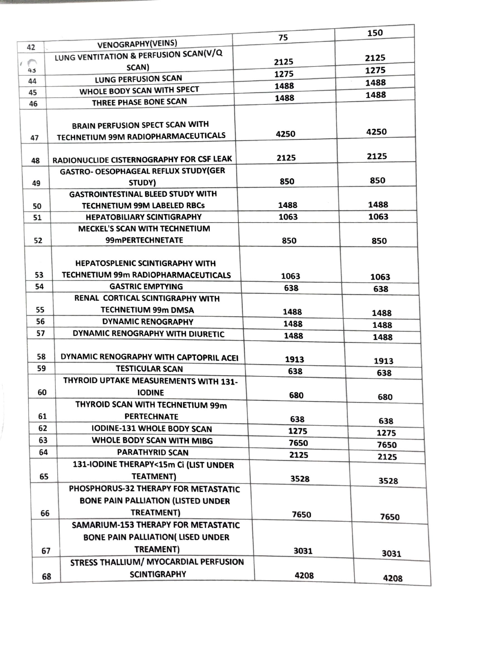|                |                                                                                         | 75   | 150  |
|----------------|-----------------------------------------------------------------------------------------|------|------|
| 42             | <b>VENOGRAPHY(VEINS)</b>                                                                |      |      |
| $\sigma^{\mu}$ | LUNG VENTITATION & PERFUSION SCAN(V/Q                                                   | 2125 | 2125 |
| 43             | SCAN)                                                                                   | 1275 | 1275 |
| 44             | LUNG PERFUSION SCAN                                                                     | 1488 | 1488 |
| 45             | WHOLE BODY SCAN WITH SPECT                                                              | 1488 | 1488 |
| 46             | THREE PHASE BONE SCAN                                                                   |      |      |
|                |                                                                                         |      |      |
|                | <b>BRAIN PERFUSION SPECT SCAN WITH</b>                                                  | 4250 | 4250 |
| 47             | TECHNETIUM 99M RADIOPHARMACEUTICALS                                                     |      |      |
|                |                                                                                         | 2125 | 2125 |
| 48             | RADIONUCLIDE CISTERNOGRAPHY FOR CSF LEAK<br><b>GASTRO- OESOPHAGEAL REFLUX STUDY(GER</b> |      |      |
|                | STUDY)                                                                                  | 850  | 850  |
| 49             | <b>GASTROINTESTINAL BLEED STUDY WITH</b>                                                |      |      |
| 50             | <b>TECHNETIUM 99M LABELED RBCs</b>                                                      | 1488 | 1488 |
| 51             | <b>HEPATOBILIARY SCINTIGRAPHY</b>                                                       | 1063 | 1063 |
|                | <b>MECKEL'S SCAN WITH TECHNETIUM</b>                                                    |      |      |
| 52             | 99mPERTECHNETATE                                                                        | 850  | 850  |
|                |                                                                                         |      |      |
|                | <b>HEPATOSPLENIC SCINTIGRAPHY WITH</b>                                                  |      |      |
| 53             | TECHNETIUM 99m RADIOPHARMACEUTICALS                                                     | 1063 | 1063 |
| 54             | <b>GASTRIC EMPTYING</b>                                                                 | 638  | 638  |
|                | RENAL CORTICAL SCINTIGRAPHY WITH                                                        |      |      |
| 55             | <b>TECHNETIUM 99m DMSA</b>                                                              | 1488 | 1488 |
| 56             | <b>DYNAMIC RENOGRAPHY</b>                                                               | 1488 | 1488 |
| 57             | DYNAMIC RENOGRAPHY WITH DIURETIC                                                        | 1488 | 1488 |
|                |                                                                                         |      |      |
| 58             | DYNAMIC RENOGRAPHY WITH CAPTOPRIL ACEI                                                  | 1913 | 1913 |
| 59             | <b>TESTICULAR SCAN</b>                                                                  | 638  | 638  |
|                | THYROID UPTAKE MEASUREMENTS WITH 131-                                                   |      |      |
| 60             | <b>IODINE</b>                                                                           | 680  | 680  |
|                | THYROID SCAN WITH TECHNETIUM 99m                                                        |      |      |
| 61             | <b>PERTECHNATE</b>                                                                      | 638  | 638  |
| 62             | <b>IODINE-131 WHOLE BODY SCAN</b>                                                       | 1275 | 1275 |
| 63             | WHOLE BODY SCAN WITH MIBG                                                               | 7650 | 7650 |
| 64             | <b>PARATHYRID SCAN</b>                                                                  | 2125 | 2125 |
|                | 131-IODINE THERAPY<15m Ci (LIST UNDER                                                   |      |      |
| 65             | <b>TEATMENT)</b>                                                                        | 3528 | 3528 |
|                | PHOSPHORUS-32 THERAPY FOR METASTATIC                                                    |      |      |
|                | <b>BONE PAIN PALLIATION (LISTED UNDER</b>                                               |      |      |
| 66             | TREATMENT)                                                                              | 7650 | 7650 |
|                | SAMARIUM-153 THERAPY FOR METASTATIC                                                     |      |      |
|                | <b>BONE PAIN PALLIATION( LISED UNDER</b>                                                |      |      |
| 67             | TREAMENT)                                                                               | 3031 | 3031 |
|                | STRESS THALLIUM/ MYOCARDIAL PERFUSION                                                   |      |      |
| 68             | <b>SCINTIGRAPHY</b>                                                                     | 4208 |      |
|                |                                                                                         |      | 4208 |